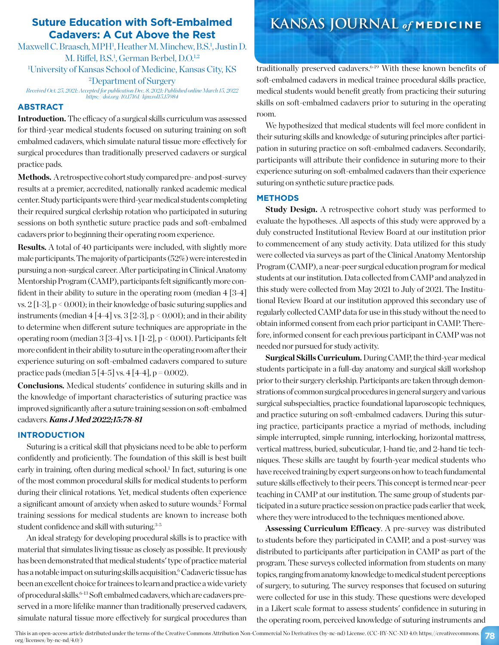# **Suture Education with Soft-Embalmed Cadavers: A Cut Above the Rest**

Maxwell C. Braasch, MPH<sup>1</sup>, Heather M. Minchew, B.S.<sup>1</sup>, Justin D. M. Riffel, B.S.<sup>1</sup>, German Berbel, D.O.<sup>1,2</sup> 1 University of Kansas School of Medicine, Kansas City, KS 2 Department of Surgery

*Received Oct. 25, 2021; Accepted for publication Dec. 8, 2021; Published online March 15, 2022 https://doi.org/10.17161/kjm.vol15.15984*

# **ABSTRACT**

**Introduction.** The efficacy of a surgical skills curriculum was assessed for third-year medical students focused on suturing training on soft embalmed cadavers, which simulate natural tissue more effectively for surgical procedures than traditionally preserved cadavers or surgical practice pads.

Methods. A retrospective cohort study compared pre- and post-survey results at a premier, accredited, nationally ranked academic medical center. Study participants were third-year medical students completing their required surgical clerkship rotation who participated in suturing sessions on both synthetic suture practice pads and soft-embalmed cadavers prior to beginning their operating room experience.

**Results.** A total of 40 participants were included, with slightly more male participants. The majority of participants (52%) were interested in pursuing a non-surgical career. After participating in Clinical Anatomy Mentorship Program (CAMP), participants felt significantly more confident in their ability to suture in the operating room (median 4 [3-4] vs. 2 [1-3], p < 0.001); in their knowledge of basic suturing supplies and instruments (median  $4\overline{[4-4]}$  vs.  $3\overline{[2-3]}$ ,  $p < 0.001$ ); and in their ability to determine when different suture techniques are appropriate in the operating room (median 3 [3-4] vs. 1 [1-2], p < 0.001). Participants felt more confident in their ability to suture in the operating room after their experience suturing on soft-embalmed cadavers compared to suture practice pads (median  $5[4-5]$  vs.  $4[4-4]$ ,  $p = 0.002$ ).

**Conclusions.** Medical students' confidence in suturing skills and in the knowledge of important characteristics of suturing practice was improved significantly after a suture training session on soft-embalmed cadavers. *Kans J Med 2022;15:78-81*

# **INTRODUCTION**

Suturing is a critical skill that physicians need to be able to perform confidently and proficiently. The foundation of this skill is best built early in training, often during medical school.<sup>1</sup> In fact, suturing is one of the most common procedural skills for medical students to perform during their clinical rotations. Yet, medical students often experience a significant amount of anxiety when asked to suture wounds.2 Formal training sessions for medical students are known to increase both student confidence and skill with suturing.<sup>3-5</sup>

An ideal strategy for developing procedural skills is to practice with material that simulates living tissue as closely as possible. It previously has been demonstrated that medical students' type of practice material has a notable impact on suturing skills acquisition.<sup>6</sup> Cadaveric tissue has been an excellent choice for trainees to learn and practice a wide variety of procedural skills.<sup>6-13</sup> Soft embalmed cadavers, which are cadavers preserved in a more lifelike manner than traditionally preserved cadavers, simulate natural tissue more effectively for surgical procedures than

# **KANSAS JOURNAL** *of* **MEDICINE**

traditionally preserved cadavers.<sup>6-19</sup> With these known benefits of soft-embalmed cadavers in medical trainee procedural skills practice, medical students would benefit greatly from practicing their suturing skills on soft-embalmed cadavers prior to suturing in the operating room.

We hypothesized that medical students will feel more confident in their suturing skills and knowledge of suturing principles after participation in suturing practice on soft-embalmed cadavers. Secondarily, participants will attribute their confidence in suturing more to their experience suturing on soft-embalmed cadavers than their experience suturing on synthetic suture practice pads.

# **METHODS**

**Study Design.** A retrospective cohort study was performed to evaluate the hypotheses. All aspects of this study were approved by a duly constructed Institutional Review Board at our institution prior to commencement of any study activity. Data utilized for this study were collected via surveys as part of the Clinical Anatomy Mentorship Program (CAMP), a near-peer surgical education program for medical students at our institution. Data collected from CAMP and analyzed in this study were collected from May 2021 to July of 2021. The Institutional Review Board at our institution approved this secondary use of regularly collected CAMP data for use in this study without the need to obtain informed consent from each prior participant in CAMP. Therefore, informed consent for each previous participant in CAMP was not needed nor pursued for study activity.

**Surgical Skills Curriculum.** During CAMP, the third-year medical students participate in a full-day anatomy and surgical skill workshop prior to their surgery clerkship. Participants are taken through demonstrations of common surgical procedures in general surgery and various surgical subspecialties, practice foundational laparoscopic techniques, and practice suturing on soft-embalmed cadavers. During this suturing practice, participants practice a myriad of methods, including simple interrupted, simple running, interlocking, horizontal mattress, vertical mattress, buried, subcuticular, 1-hand tie, and 2-hand tie techniques. These skills are taught by fourth-year medical students who have received training by expert surgeons on how to teach fundamental suture skills effectively to their peers. This concept is termed near-peer teaching in CAMP at our institution. The same group of students participated in a suture practice session on practice pads earlier that week, where they were introduced to the techniques mentioned above.

**Assessing Curriculum Efficacy**. A pre-survey was distributed to students before they participated in CAMP, and a post-survey was distributed to participants after participation in CAMP as part of the program. These surveys collected information from students on many topics, ranging from anatomy knowledge to medical student perceptions of surgery, to suturing. The survey responses that focused on suturing were collected for use in this study. These questions were developed in a Likert scale format to assess students' confidence in suturing in the operating room, perceived knowledge of suturing instruments and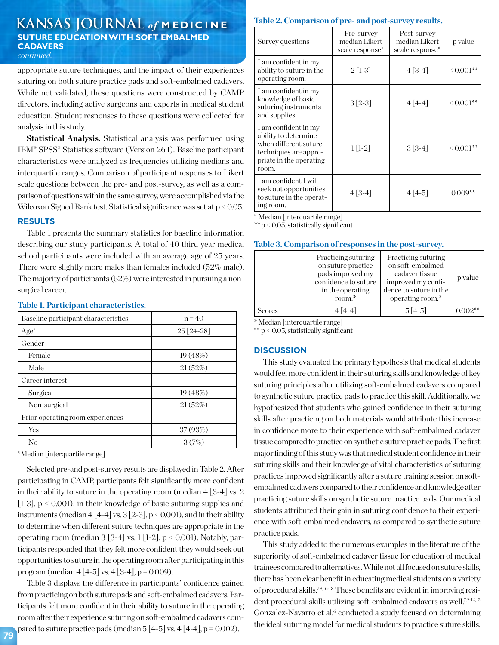# **KANSAS JOURNAL** *of* **MEDICINE SUTURE EDUCATION WITH SOFT EMBALMED CADAVERS** *continued.*

appropriate suture techniques, and the impact of their experiences suturing on both suture practice pads and soft-embalmed cadavers. While not validated, these questions were constructed by CAMP directors, including active surgeons and experts in medical student education. Student responses to these questions were collected for analysis in this study.

**Statistical Analysis.** Statistical analysis was performed using IBM® SPSS® Statistics software (Version 26.1). Baseline participant characteristics were analyzed as frequencies utilizing medians and interquartile ranges. Comparison of participant responses to Likert scale questions between the pre- and post-survey, as well as a comparison of questions within the same survey, were accomplished via the Wilcoxon Signed Rank test. Statistical significance was set at  $p < 0.05$ .

#### **RESULTS**

Table 1 presents the summary statistics for baseline information describing our study participants. A total of 40 third year medical school participants were included with an average age of 25 years. There were slightly more males than females included (52% male). The majority of participants (52%) were interested in pursuing a nonsurgical career.

| Baseline participant characteristics | $n = 40$    |
|--------------------------------------|-------------|
| $Age*$                               | $25[24-28]$ |
| Gender                               |             |
| Female                               | 19(48%)     |
| Male                                 | 21(52%)     |
| Career interest                      |             |
| Surgical                             | 19(48%)     |
| Non-surgical                         | 21(52%)     |
| Prior operating room experiences     |             |
| Yes                                  | 37(93%)     |
| No                                   | 3(7%)       |

#### **Table 1. Participant characteristics.**

\*Median [interquartile range]

Selected pre-and post-survey results are displayed in Table 2. After participating in CAMP, participants felt significantly more confident in their ability to suture in the operating room (median  $4 \times 2 \times 2$ [1-3], p < 0.001), in their knowledge of basic suturing supplies and instruments (median  $4[4-4]$  vs.  $3[2-3]$ ,  $p < 0.001$ ), and in their ability to determine when different suture techniques are appropriate in the operating room (median  $3$  [3-4] vs. 1 [1-2], p < 0.001). Notably, participants responded that they felt more confident they would seek out opportunities to suture in the operating room after participating in this program (median  $4[4-5]$  vs.  $4[3-4]$ , p = 0.009).

Table 3 displays the difference in participants' confidence gained from practicing on both suture pads and soft-embalmed cadavers. Participants felt more confident in their ability to suture in the operating room after their experience suturing on soft-embalmed cadavers compared to suture practice pads (median  $5\left[4-5\right]$  vs.  $4\left[4-4\right]$ , p = 0.002).

# **Table 2. Comparison of pre- and post-survey results.**

| Survey questions                                                                                                                   | Pre-survey<br>median Likert<br>scale response* | Post-survey<br>median Likert<br>scale response* | p value         |
|------------------------------------------------------------------------------------------------------------------------------------|------------------------------------------------|-------------------------------------------------|-----------------|
| I am confident in my<br>ability to suture in the<br>operating room.                                                                | $2[1-3]$                                       | $4[3-4]$                                        | ${}^{<0.001**}$ |
| I am confident in my<br>knowledge of basic<br>suturing instruments<br>and supplies.                                                | $3[2-3]$                                       | $4[4-4]$                                        | $\leq 0.001$ ** |
| I am confident in my<br>ability to determine<br>when different suture<br>techniques are appro-<br>priate in the operating<br>room. | $1[1-2]$                                       | $3[3-4]$                                        | $\leq 0.001$ ** |
| I am confident I will<br>seek out opportunities<br>to suture in the operat-<br>ing room.                                           | $4[3-4]$                                       | $4 4-5 $                                        | $0.009**$       |

\* Median [interquartile range]

\*\*  $p < 0.05$ , statistically significant

### **Table 3. Comparison of responses in the post-survey.**

|               | Practicing suturing<br>on suture practice<br>pads improved my<br>confidence to suture<br>in the operating<br>room.* | Practicing suturing<br>on soft-embalmed<br>cadaver tissue<br>improved my confi-<br>dence to suture in the<br>operating room.* | p value   |
|---------------|---------------------------------------------------------------------------------------------------------------------|-------------------------------------------------------------------------------------------------------------------------------|-----------|
| <b>Scores</b> | $4 4-4 $                                                                                                            | $5[4-5]$                                                                                                                      | $0.002**$ |

\* Median [interquartile range]

\*\* p < 0.05, statistically significant

# **DISCUSSION**

This study evaluated the primary hypothesis that medical students would feel more confident in their suturing skills and knowledge of key suturing principles after utilizing soft-embalmed cadavers compared to synthetic suture practice pads to practice this skill. Additionally, we hypothesized that students who gained confidence in their suturing skills after practicing on both materials would attribute this increase in confidence more to their experience with soft-embalmed cadaver tissue compared to practice on synthetic suture practice pads. The first major finding of this study was that medical student confidence in their suturing skills and their knowledge of vital characteristics of suturing practices improved significantly after a suture training session on softembalmed cadavers compared to their confidence and knowledge after practicing suture skills on synthetic suture practice pads. Our medical students attributed their gain in suturing confidence to their experience with soft-embalmed cadavers, as compared to synthetic suture practice pads.

This study added to the numerous examples in the literature of the superiority of soft-embalmed cadaver tissue for education of medical trainees compared to alternatives. While not all focused on suture skills, there has been clear benefit in educating medical students on a variety of procedural skills.7,8,16-18 These benefits are evident in improving resident procedural skills utilizing soft-embalmed cadavers as well.7,9-12,15 Gonzalez-Navarro et al.<sup>6</sup> conducted a study focused on determining the ideal suturing model for medical students to practice suture skills.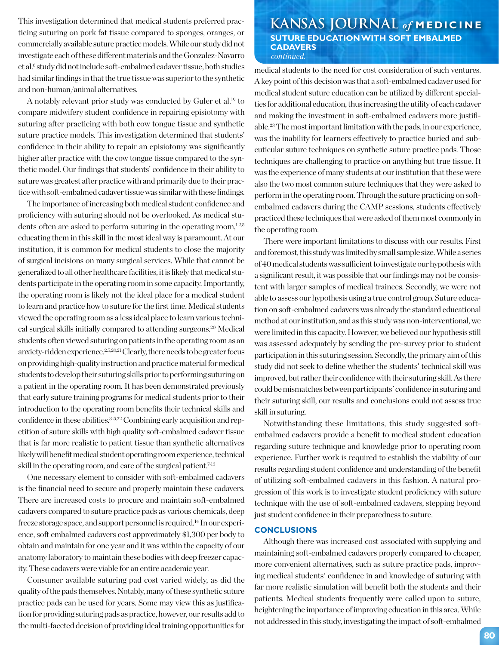This investigation determined that medical students preferred prac-<br> **KANSAS JOURNAL** of MEDICINE ticing suturing on pork fat tissue compared to sponges, oranges, or commercially available suture practice models. While our study did not investigate each of these different materials and the Gonzalez-Navarro et al.<sup>6</sup> study did not include soft-embalmed cadaver tissue, both studies had similar findings in that the true tissue was superior to the synthetic and non-human/animal alternatives.

A notably relevant prior study was conducted by Guler et al.19 to compare midwifery student confidence in repairing episiotomy with suturing after practicing with both cow tongue tissue and synthetic suture practice models. This investigation determined that students' confidence in their ability to repair an episiotomy was significantly higher after practice with the cow tongue tissue compared to the synthetic model. Our findings that students' confidence in their ability to suture was greatest after practice with and primarily due to their practice with soft-embalmed cadaver tissue was similar with these findings.

The importance of increasing both medical student confidence and proficiency with suturing should not be overlooked. As medical students often are asked to perform suturing in the operating room, $1,2,5$ educating them in this skill in the most ideal way is paramount. At our institution, it is common for medical students to close the majority of surgical incisions on many surgical services. While that cannot be generalized to all other healthcare facilities, it is likely that medical students participate in the operating room in some capacity. Importantly, the operating room is likely not the ideal place for a medical student to learn and practice how to suture for the first time. Medical students viewed the operating room as a less ideal place to learn various technical surgical skills initially compared to attending surgeons.20 Medical students often viewed suturing on patients in the operating room as an anxiety-ridden experience.2,5,20,21 Clearly, there needs to be greater focus on providing high-quality instruction and practice material for medical students to develop their suturing skills prior to performing suturing on a patient in the operating room. It has been demonstrated previously that early suture training programs for medical students prior to their introduction to the operating room benefits their technical skills and confidence in these abilities.<sup>3-5,22</sup> Combining early acquisition and repetition of suture skills with high quality soft-embalmed cadaver tissue that is far more realistic to patient tissue than synthetic alternatives likely will benefit medical student operating room experience, technical skill in the operating room, and care of the surgical patient.<sup>7-13</sup>

One necessary element to consider with soft-embalmed cadavers is the financial need to secure and properly maintain these cadavers. There are increased costs to procure and maintain soft-embalmed cadavers compared to suture practice pads as various chemicals, deep freeze storage space, and support personnel is required.14 In our experience, soft embalmed cadavers cost approximately \$1,300 per body to obtain and maintain for one year and it was within the capacity of our anatomy laboratory to maintain these bodies with deep freezer capacity. These cadavers were viable for an entire academic year.

Consumer available suturing pad cost varied widely, as did the quality of the pads themselves. Notably, many of these synthetic suture practice pads can be used for years. Some may view this as justification for providing suturing pads as practice, however, our results add to the multi-faceted decision of providing ideal training opportunities for

# **SUTURE EDUCATION WITH SOFT EMBALMED CADAVERS** *continued.*

medical students to the need for cost consideration of such ventures. A key point of this decision was that a soft-embalmed cadaver used for medical student suture education can be utilized by different specialties for additional education, thus increasing the utility of each cadaver and making the investment in soft-embalmed cadavers more justifiable.23 The most important limitation with the pads, in our experience, was the inability for learners effectively to practice buried and subcuticular suture techniques on synthetic suture practice pads. Those techniques are challenging to practice on anything but true tissue. It was the experience of many students at our institution that these were also the two most common suture techniques that they were asked to perform in the operating room. Through the suture practicing on softembalmed cadavers during the CAMP sessions, students effectively practiced these techniques that were asked of them most commonly in the operating room.

There were important limitations to discuss with our results. First and foremost, this study was limited by small sample size. While a series of 40 medical students was sufficient to investigate our hypothesis with a significant result, it was possible that our findings may not be consistent with larger samples of medical trainees. Secondly, we were not able to assess our hypothesis using a true control group. Suture education on soft-embalmed cadavers was already the standard educational method at our institution, and as this study was non-interventional, we were limited in this capacity. However, we believed our hypothesis still was assessed adequately by sending the pre-survey prior to student participation in this suturing session. Secondly, the primary aim of this study did not seek to define whether the students' technical skill was improved, but rather their confidence with their suturing skill. As there could be mismatches between participants' confidence in suturing and their suturing skill, our results and conclusions could not assess true skill in suturing.

Notwithstanding these limitations, this study suggested softembalmed cadavers provide a benefit to medical student education regarding suture technique and knowledge prior to operating room experience. Further work is required to establish the viability of our results regarding student confidence and understanding of the benefit of utilizing soft-embalmed cadavers in this fashion. A natural progression of this work is to investigate student proficiency with suture technique with the use of soft-embalmed cadavers, stepping beyond just student confidence in their preparedness to suture.

### **CONCLUSIONS**

Although there was increased cost associated with supplying and maintaining soft-embalmed cadavers properly compared to cheaper, more convenient alternatives, such as suture practice pads, improving medical students' confidence in and knowledge of suturing with far more realistic simulation will benefit both the students and their patients. Medical students frequently were called upon to suture, heightening the importance of improving education in this area. While not addressed in this study, investigating the impact of soft-embalmed